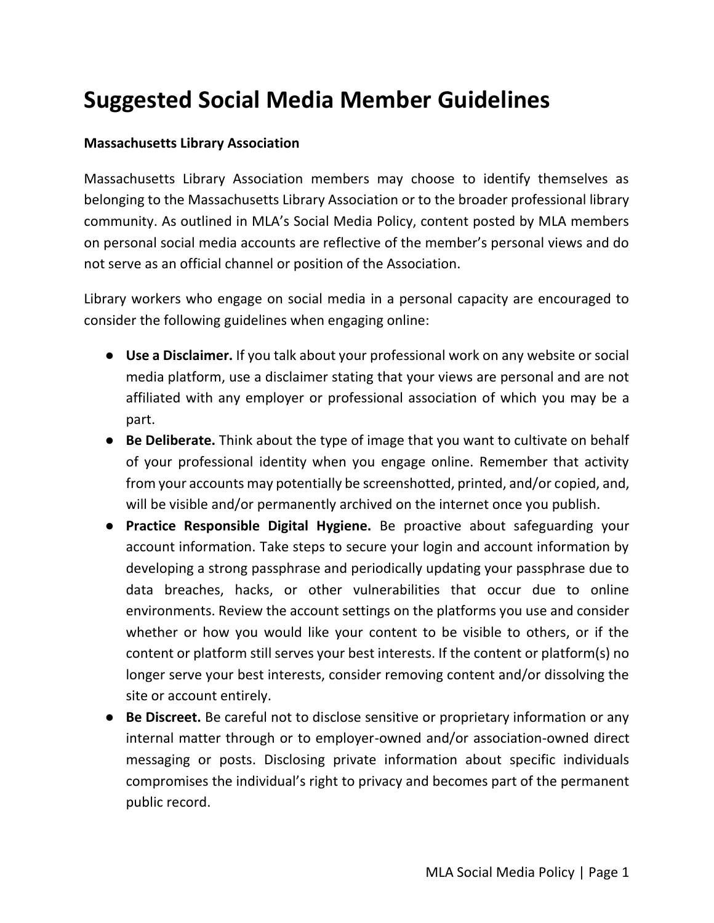## **Suggested Social Media Member Guidelines**

## **Massachusetts Library Association**

Massachusetts Library Association members may choose to identify themselves as belonging to the Massachusetts Library Association or to the broader professional library community. As outlined in MLA's Social Media Policy, content posted by MLA members on personal social media accounts are reflective of the member's personal views and do not serve as an official channel or position of the Association.

Library workers who engage on social media in a personal capacity are encouraged to consider the following guidelines when engaging online:

- **Use a Disclaimer.** If you talk about your professional work on any website or social media platform, use a disclaimer stating that your views are personal and are not affiliated with any employer or professional association of which you may be a part.
- **Be Deliberate.** Think about the type of image that you want to cultivate on behalf of your professional identity when you engage online. Remember that activity from your accounts may potentially be screenshotted, printed, and/or copied, and, will be visible and/or permanently archived on the internet once you publish.
- **Practice Responsible Digital Hygiene.** Be proactive about safeguarding your account information. Take steps to secure your login and account information by developing a strong passphrase and periodically updating your passphrase due to data breaches, hacks, or other vulnerabilities that occur due to online environments. Review the account settings on the platforms you use and consider whether or how you would like your content to be visible to others, or if the content or platform still serves your best interests. If the content or platform(s) no longer serve your best interests, consider removing content and/or dissolving the site or account entirely.
- **Be Discreet.** Be careful not to disclose sensitive or proprietary information or any internal matter through or to employer-owned and/or association-owned direct messaging or posts. Disclosing private information about specific individuals compromises the individual's right to privacy and becomes part of the permanent public record.